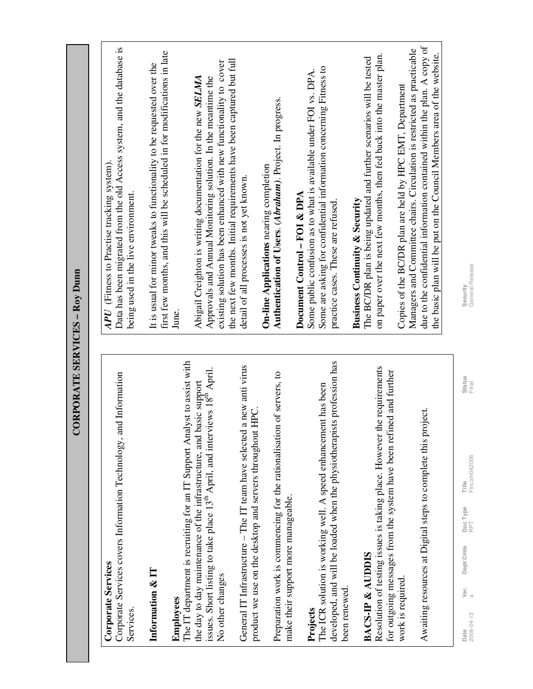| <b>CONFUMATE SENVICES - NOY DUIL</b>                                                                                                                                         |                                                                                                                                                                              |
|------------------------------------------------------------------------------------------------------------------------------------------------------------------------------|------------------------------------------------------------------------------------------------------------------------------------------------------------------------------|
|                                                                                                                                                                              |                                                                                                                                                                              |
| Corporate Services covers Information Technology, and Information<br><b>Corporate Services</b><br>Services.                                                                  | Data has been migrated from the old Access system, and the database is<br>APU (Fitness to Practise tracking system).<br>being used in the live environment.                  |
| Information & IT                                                                                                                                                             | first few months, and this will be scheduled in for modifications in late<br>It is usual for minor tweaks to functionality to be requested over the                          |
| The IT department is recruiting for an IT Support Analyst to assist with<br>Employees                                                                                        | June.                                                                                                                                                                        |
| issues. Short listing to take place 13 <sup>th</sup> April, and interviews 18 <sup>th</sup> April.<br>basic support<br>the day to day maintenance of the infrastructure, and | Abigail Creighton is writing documentation for the new SELMA<br>Approvals and Annual Monitoring solution. In the meantime the                                                |
| No other changes                                                                                                                                                             | the next few months. Initial requirements have been captured but full<br>existing solution has been enhanced with new functionality to cover                                 |
| General IT Infrastructure - The IT team have selected a new anti virus<br>product we use on the desktop and servers throughout HPC.                                          | detail of all processes is not yet known.                                                                                                                                    |
|                                                                                                                                                                              | <b>On-line Applications</b> nearing completion                                                                                                                               |
| Preparation work is commencing for the rationalisation of servers, to<br>make their support more manageable.                                                                 | Authentication of Users. (Abraham). Project. In progress.                                                                                                                    |
|                                                                                                                                                                              | Document Control - FOI & DPA                                                                                                                                                 |
| developed, and will be loaded when the physiotherapists profession has<br>The ICR solution is working well. A speed enhancement has been<br>Projects                         | Some are asking for confidential information concerning Fitness to<br>Some public confusion as to what is available under FOI vs. DPA.<br>practice cases. These are refused. |
| been renewed.                                                                                                                                                                | <b>Business Continuity &amp; Security</b>                                                                                                                                    |
| <b>BACS-IP &amp; AUDDIS</b>                                                                                                                                                  | The BC/DR plan is being updated and further scenarios will be tested                                                                                                         |
| the requirements<br>for outgoing messages from the system have been refined and further<br>Resolution of testing issues is taking place. However                             | on paper over the next few months, then fed back into the master plan.                                                                                                       |
| work is required.                                                                                                                                                            | Managers and Committee chairs. Circulation is restricted as practicable<br>Copies of the BC/DR plan are held by HPC EMT, Department                                          |
| Awaiting resources at Digital steps to complete this project.                                                                                                                | due to the confidential information contained within the plan. A copy of<br>the basic plan will be put on the Council Members area of the website.                           |
|                                                                                                                                                                              |                                                                                                                                                                              |

**CORPORATE SERVICES – Roy Dunn** CORPORATE SERVICES - Roy Dunn

## **Projects**

## 罒

2006-04-12 a RPT Fincom042006 Final General Release **Date** Status Status Status Deptype Doc Type Deptype Deptype Deptype Deptype Deptype Deptype Deptype Deptype Deptype Deptype Deptype Deptype Deptype Deptype Deptype Deptype Deptype Deptype Deptype Deptype Deptype Deptype D Title<br>Fincom042006 Ver. Dept/Cmte DocType<br>a **Date**<br>2006-04-12

Status<br>Final

Security<br>General Release